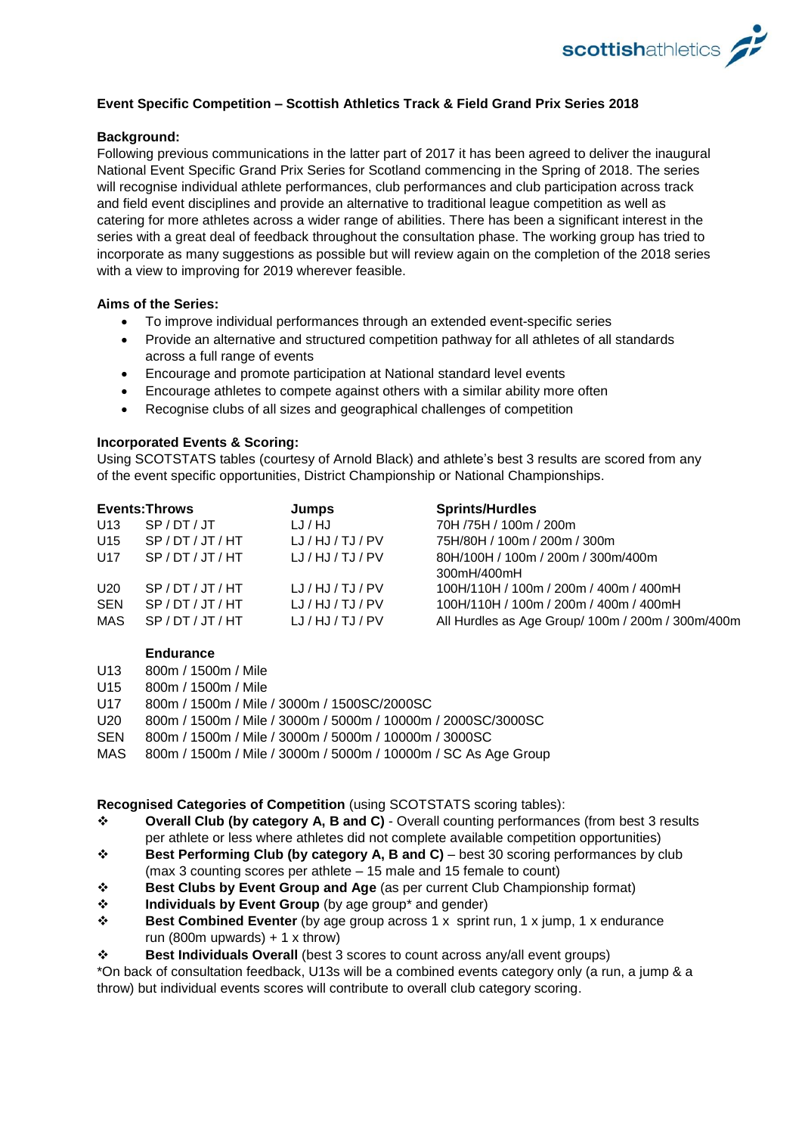

# **Event Specific Competition – Scottish Athletics Track & Field Grand Prix Series 2018**

## **Background:**

Following previous communications in the latter part of 2017 it has been agreed to deliver the inaugural National Event Specific Grand Prix Series for Scotland commencing in the Spring of 2018. The series will recognise individual athlete performances, club performances and club participation across track and field event disciplines and provide an alternative to traditional league competition as well as catering for more athletes across a wider range of abilities. There has been a significant interest in the series with a great deal of feedback throughout the consultation phase. The working group has tried to incorporate as many suggestions as possible but will review again on the completion of the 2018 series with a view to improving for 2019 wherever feasible.

## **Aims of the Series:**

- To improve individual performances through an extended event-specific series
- Provide an alternative and structured competition pathway for all athletes of all standards across a full range of events
- Encourage and promote participation at National standard level events
- Encourage athletes to compete against others with a similar ability more often
- Recognise clubs of all sizes and geographical challenges of competition

#### **Incorporated Events & Scoring:**

Using SCOTSTATS tables (courtesy of Arnold Black) and athlete's best 3 results are scored from any of the event specific opportunities, District Championship or National Championships.

| <b>Events: Throws</b> |             | Jumps       | <b>Sprints/Hurdles</b>                            |
|-----------------------|-------------|-------------|---------------------------------------------------|
| U13                   | SP/DT/JT    | LJ / HJ     | 70H /75H / 100m / 200m                            |
| U15                   | SP/DT/JT/HT | LJ/HJ/TJ/PV | 75H/80H / 100m / 200m / 300m                      |
| U17                   | SP/DT/JT/HT | LJ/HJ/TJ/PV | 80H/100H / 100m / 200m / 300m/400m                |
|                       |             |             | 300mH/400mH                                       |
| U20                   | SP/DT/JT/HT | LJ/HJ/TJ/PV | 100H/110H / 100m / 200m / 400m / 400mH            |
| <b>SEN</b>            | SP/DT/JT/HT | LJ/HJ/TJ/PV | 100H/110H / 100m / 200m / 400m / 400mH            |
| MAS                   | SP/DT/JT/HT | LJ/HJ/TJ/PV | All Hurdles as Age Group/ 100m / 200m / 300m/400m |

#### **Endurance**

- U13 800m / 1500m / Mile
- U15 800m / 1500m / Mile
- U17 800m / 1500m / Mile / 3000m / 1500SC/2000SC
- U20 800m / 1500m / Mile / 3000m / 5000m / 10000m / 2000SC/3000SC
- SEN 800m / 1500m / Mile / 3000m / 5000m / 10000m / 3000SC
- MAS 800m / 1500m / Mile / 3000m / 5000m / 10000m / SC As Age Group

#### **Recognised Categories of Competition** (using SCOTSTATS scoring tables):

- ❖ **Overall Club (by category A, B and C)** Overall counting performances (from best 3 results per athlete or less where athletes did not complete available competition opportunities)
- ❖ **Best Performing Club (by category A, B and C)** best 30 scoring performances by club (max 3 counting scores per athlete – 15 male and 15 female to count)
- ❖ **Best Clubs by Event Group and Age** (as per current Club Championship format)
- ❖ **Individuals by Event Group** (by age group\* and gender)
- ❖ **Best Combined Eventer** (by age group across 1 x sprint run, 1 x jump, 1 x endurance run (800m upwards)  $+ 1 \times$  throw)
- ❖ **Best Individuals Overall** (best 3 scores to count across any/all event groups)

\*On back of consultation feedback, U13s will be a combined events category only (a run, a jump & a throw) but individual events scores will contribute to overall club category scoring.